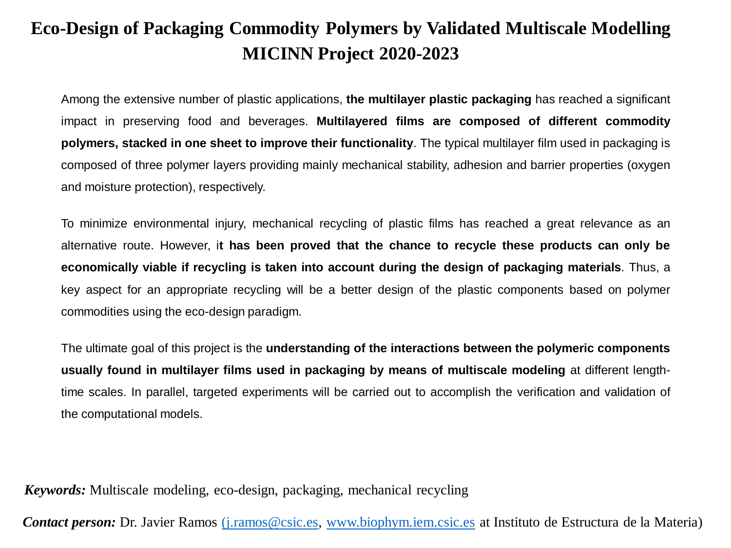## **Eco-Design of Packaging Commodity Polymers by Validated Multiscale Modelling MICINN Project 2020-2023**

Among the extensive number of plastic applications, **the multilayer plastic packaging** has reached a significant impact in preserving food and beverages. **Multilayered films are composed of different commodity polymers, stacked in one sheet to improve their functionality**. The typical multilayer film used in packaging is composed of three polymer layers providing mainly mechanical stability, adhesion and barrier properties (oxygen and moisture protection), respectively.

To minimize environmental injury, mechanical recycling of plastic films has reached a great relevance as an alternative route. However, i**t has been proved that the chance to recycle these products can only be economically viable if recycling is taken into account during the design of packaging materials**. Thus, a key aspect for an appropriate recycling will be a better design of the plastic components based on polymer commodities using the eco-design paradigm.

The ultimate goal of this project is the **understanding of the interactions between the polymeric components usually found in multilayer films used in packaging by means of multiscale modeling** at different lengthtime scales. In parallel, targeted experiments will be carried out to accomplish the verification and validation of the computational models.

*Keywords:* Multiscale modeling, eco-design, packaging, mechanical recycling

*Contact person:* Dr. Javier Ramos (*j.ramos@csic.es, [www.biophym.iem.csic.es](http://www.biophym.iem.csic.es/) at Instituto de Estructura de la Materia*)